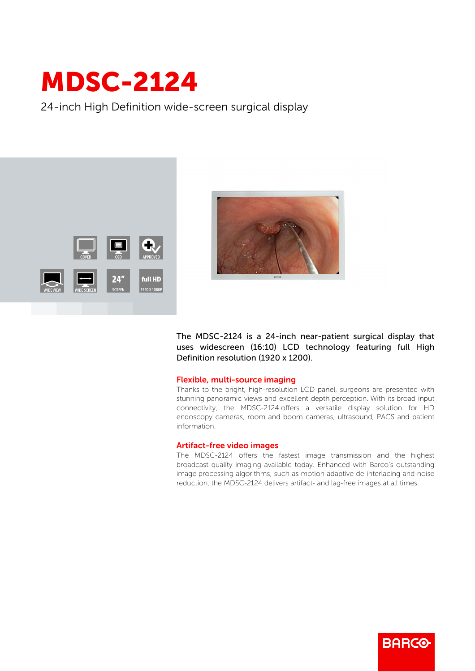## MDSC-2124

24-inch High Definition wide-screen surgical display





The MDSC-2124 is a 24-inch near-patient surgical display that uses widescreen (16:10) LCD technology featuring full High Definition resolution (1920 x 1200).

## Flexible, multi-source imaging

Thanks to the bright, high-resolution LCD panel, surgeons are presented with stunning panoramic views and excellent depth perception. With its broad input connectivity, the MDSC-2124 offers a versatile display solution for HD endoscopy cameras, room and boom cameras, ultrasound, PACS and patient information.

## Artifact-free video images

The MDSC-2124 offers the fastest image transmission and the highest broadcast quality imaging available today. Enhanced with Barco's outstanding image processing algorithms, such as motion adaptive de-interlacing and noise reduction, the MDSC-2124 delivers artifact- and lag-free images at all times.